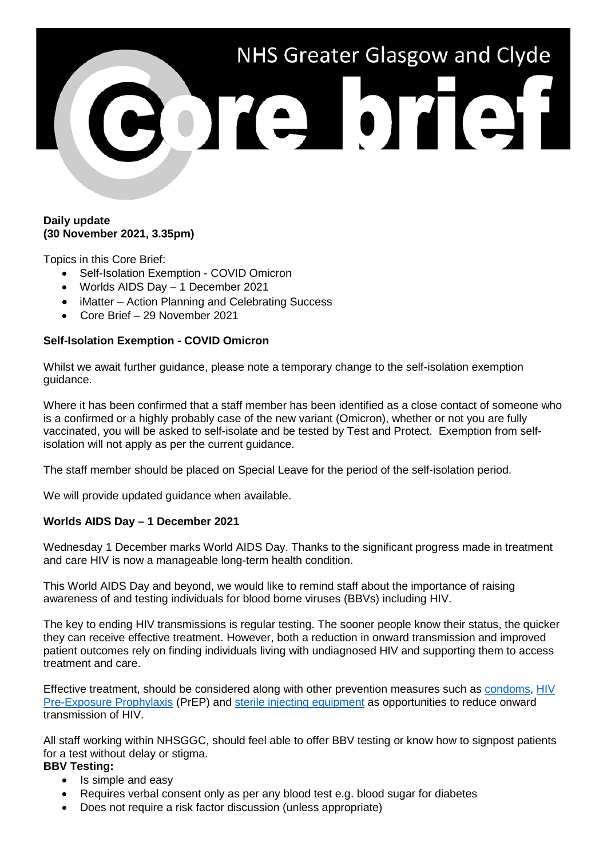

## **Daily update (30 November 2021, 3.35pm)**

Topics in this Core Brief:

- Self-Isolation Exemption COVID Omicron
- Worlds AIDS Day 1 December 2021
- iMatter Action Planning and Celebrating Success
- Core Brief 29 November 2021

#### **Self-Isolation Exemption - COVID Omicron**

Whilst we await further guidance, please note a temporary change to the self-isolation exemption guidance.

Where it has been confirmed that a staff member has been identified as a close contact of someone who is a confirmed or a highly probably case of the new variant (Omicron), whether or not you are fully vaccinated, you will be asked to self-isolate and be tested by Test and Protect. Exemption from selfisolation will not apply as per the current guidance.

The staff member should be placed on Special Leave for the period of the self-isolation period.

We will provide updated guidance when available.

# **Worlds AIDS Day – 1 December 2021**

Wednesday 1 December marks World AIDS Day. Thanks to the significant progress made in treatment and care HIV is now a manageable long-term health condition.

This World AIDS Day and beyond, we would like to remind staff about the importance of raising awareness of and testing individuals for blood borne viruses (BBVs) including HIV.

The key to ending HIV transmissions is regular testing. The sooner people know their status, the quicker they can receive effective treatment. However, both a reduction in onward transmission and improved patient outcomes rely on finding individuals living with undiagnosed HIV and supporting them to access treatment and care.

Effective treatment, should be considered along with other prevention measures such as [condoms,](https://www.sandyford.scot/sexual-health-services/free-condoms/) [HIV](https://www.sandyford.scot/sexual-health-services/prep/)  [Pre-Exposure Prophylaxis](https://www.sandyford.scot/sexual-health-services/prep/) (PrEP) and [sterile injecting equipment](https://www.nhsggc.org.uk/your-health/public-health/public-health-protection-unit-phpu/bloodborne-virus/injecting-equipment-services-in-nhsggc/) as opportunities to reduce onward transmission of HIV.

All staff working within NHSGGC, should feel able to offer BBV testing or know how to signpost patients for a test without delay or stigma.

## **BBV Testing:**

- Is simple and easy
- Requires verbal consent only as per any blood test e.g. blood sugar for diabetes
- Does not require a risk factor discussion (unless appropriate)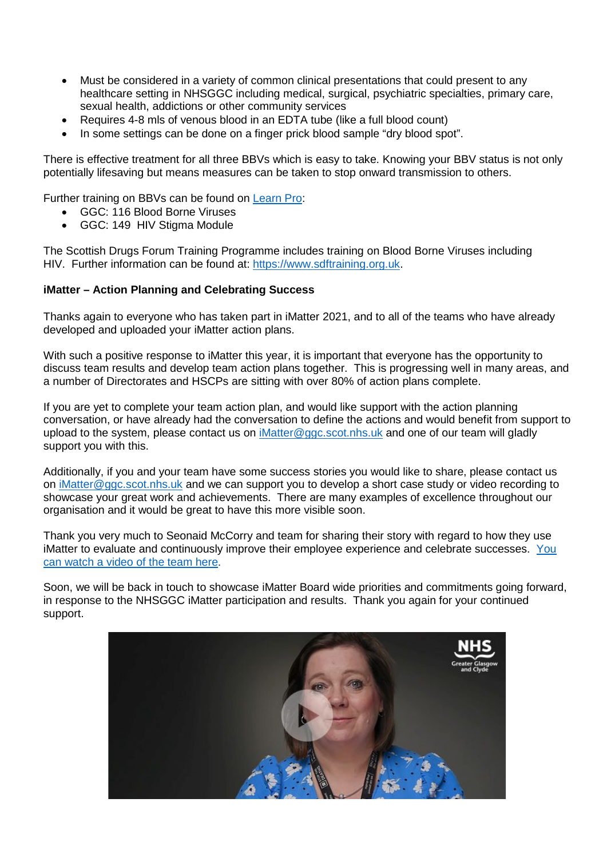- Must be considered in a variety of common clinical presentations that could present to any healthcare setting in NHSGGC including medical, surgical, psychiatric specialties, primary care, sexual health, addictions or other community services
- Requires 4-8 mls of venous blood in an EDTA tube (like a full blood count)
- In some settings can be done on a finger prick blood sample "dry blood spot".

There is effective treatment for all three BBVs which is easy to take. Knowing your BBV status is not only potentially lifesaving but means measures can be taken to stop onward transmission to others.

Further training on BBVs can be found on [Learn Pro:](https://nhs.learnprouk.com/lms/login.aspx?ReturnUrl=%2flms%2fuser_level%2fWelcome.aspx)

- GGC: 116 Blood Borne Viruses
- GGC: 149 HIV Stigma Module

The Scottish Drugs Forum Training Programme includes training on Blood Borne Viruses including HIV. Further information can be found at: [https://www.sdftraining.org.uk.](https://www.sdftraining.org.uk/)

#### **iMatter – Action Planning and Celebrating Success**

Thanks again to everyone who has taken part in iMatter 2021, and to all of the teams who have already developed and uploaded your iMatter action plans.

With such a positive response to iMatter this year, it is important that everyone has the opportunity to discuss team results and develop team action plans together. This is progressing well in many areas, and a number of Directorates and HSCPs are sitting with over 80% of action plans complete.

If you are yet to complete your team action plan, and would like support with the action planning conversation, or have already had the conversation to define the actions and would benefit from support to upload to the system, please contact us on [iMatter@ggc.scot.nhs.uk](mailto:iMatter@ggc.scot.nhs.uk) and one of our team will gladly support you with this.

Additionally, if you and your team have some success stories you would like to share, please contact us on [iMatter@ggc.scot.nhs.uk](mailto:iMatter@ggc.scot.nhs.uk) and we can support you to develop a short case study or video recording to showcase your great work and achievements. There are many examples of excellence throughout our organisation and it would be great to have this more visible soon.

Thank you very much to Seonaid McCorry and team for sharing their story with regard to how they use iMatter to evaluate and continuously improve their employee experience and celebrate successes. [You](https://youtu.be/iYs9B_IS5Vk)  [can watch a video of the team here.](https://youtu.be/iYs9B_IS5Vk)

Soon, we will be back in touch to showcase iMatter Board wide priorities and commitments going forward, in response to the NHSGGC iMatter participation and results. Thank you again for your continued support.